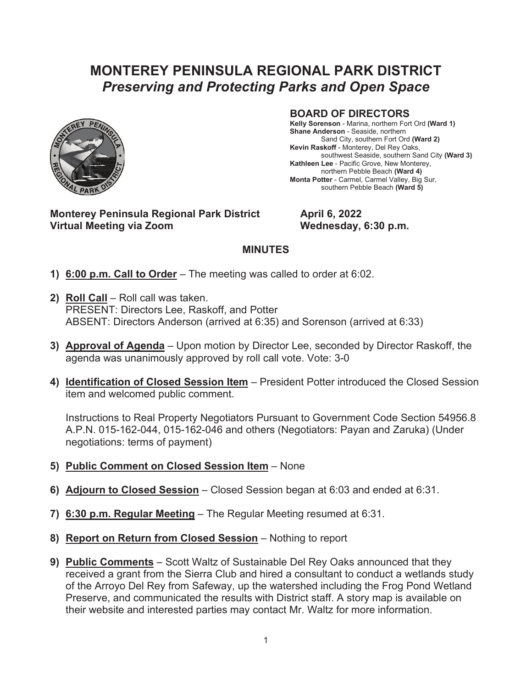## **MONTEREY PENINSULA REGIONAL PARK DISTRICT**  *Preserving and Protecting Parks and Open Space*



## **BOARD OF DIRECTORS**

**Kelly Sorenson** - Marina, northern Fort Ord **(Ward 1) Shane Anderson** - Seaside, northern Sand City, southern Fort Ord **(Ward 2) Kevin Raskoff** - Monterey, Del Rey Oaks, southwest Seaside, southern Sand City **(Ward 3) Kathleen Lee** - Pacific Grove, New Monterey, northern Pebble Beach **(Ward 4) Monta Potter** - Carmel, Carmel Valley, Big Sur, southern Pebble Beach **(Ward 5)**

**Monterey Peninsula Regional Park District April 6, 2022** Virtual Meeting via Zoom **Wednesday, 6:30 p.m.** 

## **MINUTES**

- **1) 6:00 p.m. Call to Order** The meeting was called to order at 6:02.
- **2) Roll Call** Roll call was taken. PRESENT: Directors Lee, Raskoff, and Potter ABSENT: Directors Anderson (arrived at 6:35) and Sorenson (arrived at 6:33)
- **3) Approval of Agenda** Upon motion by Director Lee, seconded by Director Raskoff, the agenda was unanimously approved by roll call vote. Vote: 3-0
- **4) Identification of Closed Session Item** President Potter introduced the Closed Session item and welcomed public comment.

Instructions to Real Property Negotiators Pursuant to Government Code Section 54956.8 A.P.N. 015-162-044, 015-162-046 and others (Negotiators: Payan and Zaruka) (Under negotiations: terms of payment)

- **5) Public Comment on Closed Session Item** None
- **6) Adjourn to Closed Session** Closed Session began at 6:03 and ended at 6:31.
- **7) 6:30 p.m. Regular Meeting** The Regular Meeting resumed at 6:31.
- **8) Report on Return from Closed Session** Nothing to report
- **9) Public Comments** Scott Waltz of Sustainable Del Rey Oaks announced that they received a grant from the Sierra Club and hired a consultant to conduct a wetlands study of the Arroyo Del Rey from Safeway, up the watershed including the Frog Pond Wetland Preserve, and communicated the results with District staff. A story map is available on their website and interested parties may contact Mr. Waltz for more information.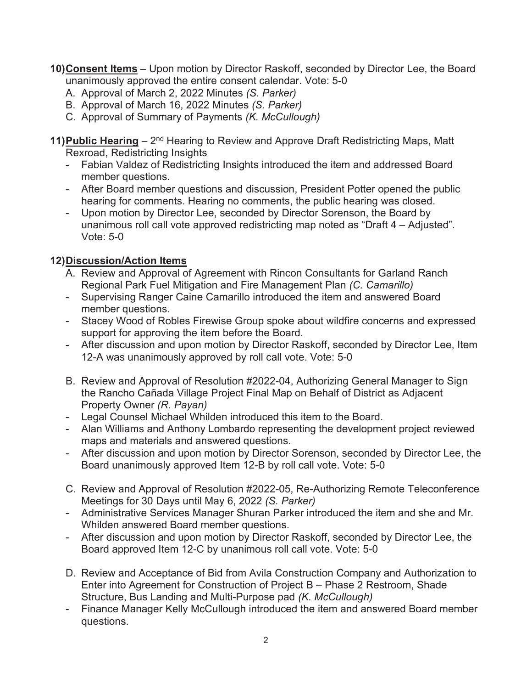**10) Consent Items** – Upon motion by Director Raskoff, seconded by Director Lee, the Board unanimously approved the entire consent calendar. Vote: 5-0

- A. Approval of March 2, 2022 Minutes *(S. Parker)*
- B. Approval of March 16, 2022 Minutes *(S. Parker)*
- C. Approval of Summary of Payments *(K. McCullough)*

**11) Public Hearing** – 2<sup>nd</sup> Hearing to Review and Approve Draft Redistricting Maps, Matt Rexroad, Redistricting Insights

- Fabian Valdez of Redistricting Insights introduced the item and addressed Board member questions.
- After Board member questions and discussion, President Potter opened the public hearing for comments. Hearing no comments, the public hearing was closed.
- Upon motion by Director Lee, seconded by Director Sorenson, the Board by unanimous roll call vote approved redistricting map noted as "Draft 4 – Adjusted". Vote: 5-0

## **12) Discussion/Action Items**

- A. Review and Approval of Agreement with Rincon Consultants for Garland Ranch Regional Park Fuel Mitigation and Fire Management Plan *(C. Camarillo)*
- Supervising Ranger Caine Camarillo introduced the item and answered Board member questions.
- Stacey Wood of Robles Firewise Group spoke about wildfire concerns and expressed support for approving the item before the Board.
- After discussion and upon motion by Director Raskoff, seconded by Director Lee, Item 12-A was unanimously approved by roll call vote. Vote: 5-0
- B. Review and Approval of Resolution #2022-04, Authorizing General Manager to Sign the Rancho Cañada Village Project Final Map on Behalf of District as Adjacent Property Owner *(R. Payan)*
- Legal Counsel Michael Whilden introduced this item to the Board.
- Alan Williams and Anthony Lombardo representing the development project reviewed maps and materials and answered questions.
- After discussion and upon motion by Director Sorenson, seconded by Director Lee, the Board unanimously approved Item 12-B by roll call vote. Vote: 5-0
- C. Review and Approval of Resolution #2022-05, Re-Authorizing Remote Teleconference Meetings for 30 Days until May 6, 2022 *(S. Parker)*
- Administrative Services Manager Shuran Parker introduced the item and she and Mr. Whilden answered Board member questions.
- After discussion and upon motion by Director Raskoff, seconded by Director Lee, the Board approved Item 12-C by unanimous roll call vote. Vote: 5-0
- D. Review and Acceptance of Bid from Avila Construction Company and Authorization to Enter into Agreement for Construction of Project B – Phase 2 Restroom, Shade Structure, Bus Landing and Multi-Purpose pad *(K. McCullough)*
- Finance Manager Kelly McCullough introduced the item and answered Board member questions.